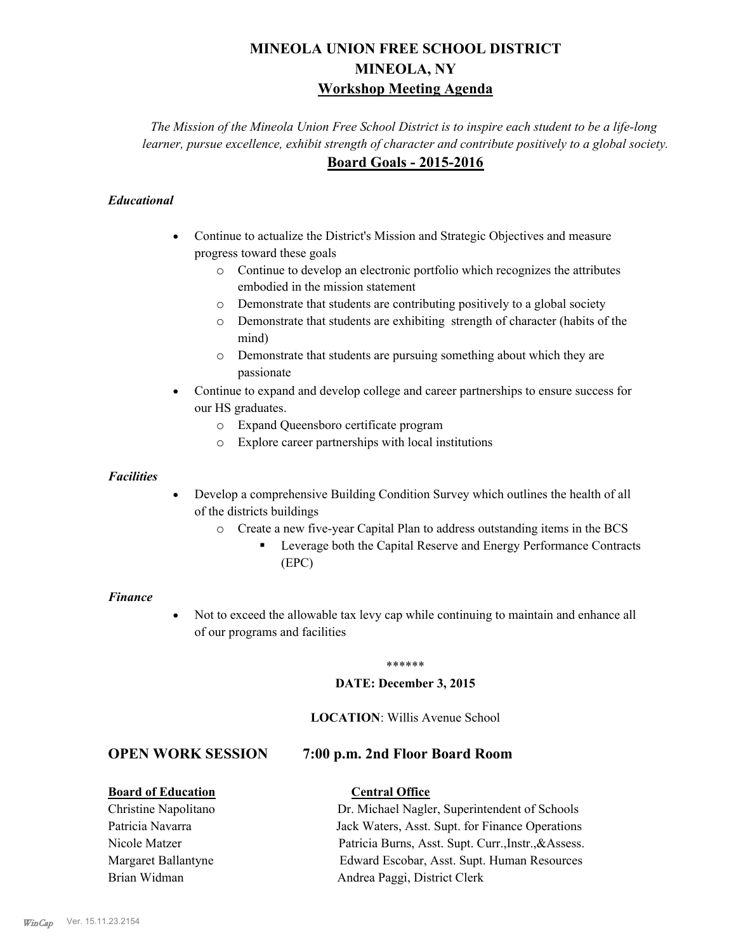# **MINEOLA UNION FREE SCHOOL DISTRICT MINEOLA, NY Workshop Meeting Agenda**

*The Mission of the Mineola Union Free School District is to inspire each student to be a life-long learner, pursue excellence, exhibit strength of character and contribute positively to a global society.* **Board Goals - 2015-2016**

# *Educational*

- · Continue to actualize the District's Mission and Strategic Objectives and measure progress toward these goals
	- o Continue to develop an electronic portfolio which recognizes the attributes embodied in the mission statement
	- o Demonstrate that students are contributing positively to a global society
	- o Demonstrate that students are exhibiting strength of character (habits of the mind)
	- o Demonstrate that students are pursuing something about which they are passionate
- Continue to expand and develop college and career partnerships to ensure success for our HS graduates.
	- o Expand Queensboro certificate program
	- o Explore career partnerships with local institutions

### *Facilities*

- Develop a comprehensive Building Condition Survey which outlines the health of all of the districts buildings
	- o Create a new five-year Capital Plan to address outstanding items in the BCS
		- § Leverage both the Capital Reserve and Energy Performance Contracts (EPC)

#### *Finance*

• Not to exceed the allowable tax levy cap while continuing to maintain and enhance all of our programs and facilities

#### \*\*\*\*\*\*

#### **DATE: December 3, 2015**

### **LOCATION**: Willis Avenue School

# **OPEN WORK SESSION 7:00 p.m. 2nd Floor Board Room**

## **Board of Education Central Office**

Christine Napolitano Dr. Michael Nagler, Superintendent of Schools Patricia Navarra Jack Waters, Asst. Supt. for Finance Operations Nicole Matzer Patricia Burns, Asst. Supt. Curr.,Instr.,&Assess. Margaret Ballantyne Edward Escobar, Asst. Supt. Human Resources Brian Widman **Andrea Paggi, District Clerk**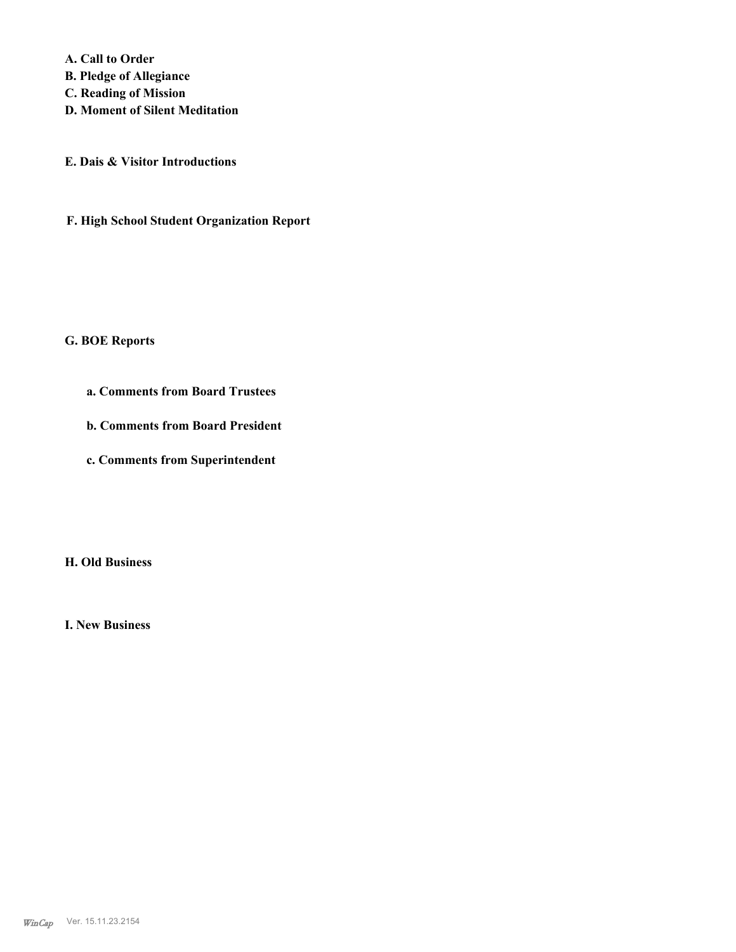**A. Call to Order B. Pledge of Allegiance C. Reading of Mission D. Moment of Silent Meditation**

**E. Dais & Visitor Introductions**

**F. High School Student Organization Report**

### **G. BOE Reports**

- **a. Comments from Board Trustees**
- **b. Comments from Board President**
- **c. Comments from Superintendent**

**H. Old Business**

**I. New Business**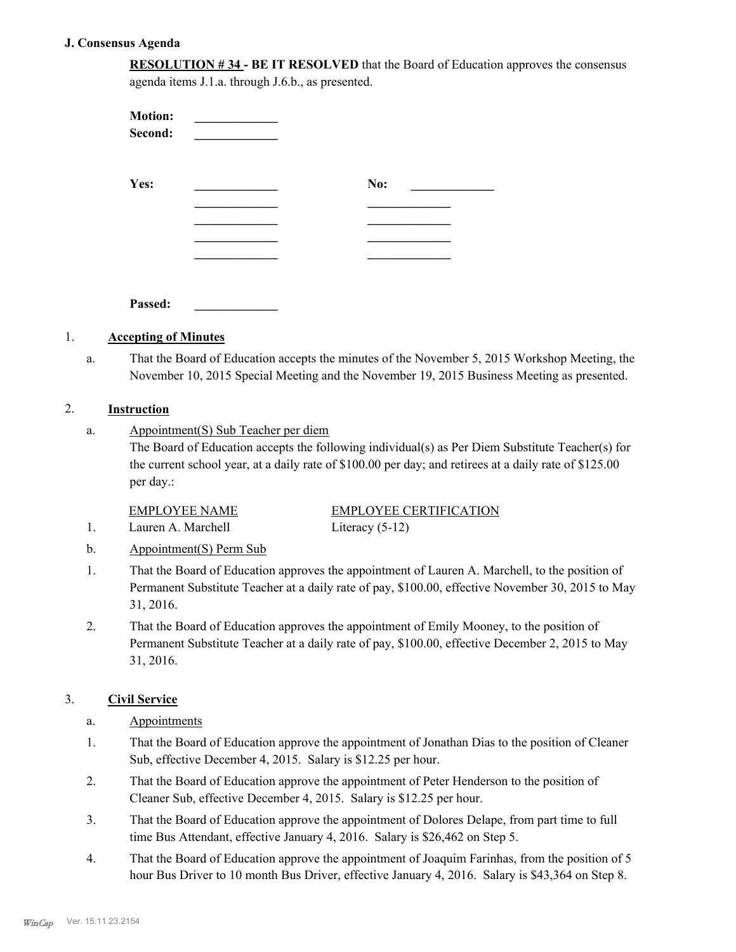### **J. Consensus Agenda**

| <b>RESOLUTION #34 - BE IT RESOLVED</b> that the Board of Education approves the consensus |
|-------------------------------------------------------------------------------------------|
| agenda items J.1.a. through J.6.b., as presented.                                         |

| <b>Motion:</b><br>Second: |     |
|---------------------------|-----|
| Yes:                      | No: |
|                           |     |
|                           |     |
| Passed:                   |     |

# 1. **Accepting of Minutes**

That the Board of Education accepts the minutes of the November 5, 2015 Workshop Meeting, the November 10, 2015 Special Meeting and the November 19, 2015 Business Meeting as presented. a.

### 2. **Instruction**

Appointment(S) Sub Teacher per diem a.

> The Board of Education accepts the following individual(s) as Per Diem Substitute Teacher(s) for the current school year, at a daily rate of \$100.00 per day; and retirees at a daily rate of \$125.00 per day.:

EMPLOYEE NAME EMPLOYEE CERTIFICATION 1. Lauren A. Marchell Literacy (5-12)

- b. Appointment(S) Perm Sub
- That the Board of Education approves the appointment of Lauren A. Marchell, to the position of Permanent Substitute Teacher at a daily rate of pay, \$100.00, effective November 30, 2015 to May 31, 2016. 1.
- That the Board of Education approves the appointment of Emily Mooney, to the position of Permanent Substitute Teacher at a daily rate of pay, \$100.00, effective December 2, 2015 to May 31, 2016. 2.

## 3. **Civil Service**

- a. Appointments
- That the Board of Education approve the appointment of Jonathan Dias to the position of Cleaner Sub, effective December 4, 2015. Salary is \$12.25 per hour. 1.
- That the Board of Education approve the appointment of Peter Henderson to the position of Cleaner Sub, effective December 4, 2015. Salary is \$12.25 per hour. 2.
- That the Board of Education approve the appointment of Dolores Delape, from part time to full time Bus Attendant, effective January 4, 2016. Salary is \$26,462 on Step 5. 3.
- That the Board of Education approve the appointment of Joaquim Farinhas, from the position of 5 hour Bus Driver to 10 month Bus Driver, effective January 4, 2016. Salary is \$43,364 on Step 8. 4.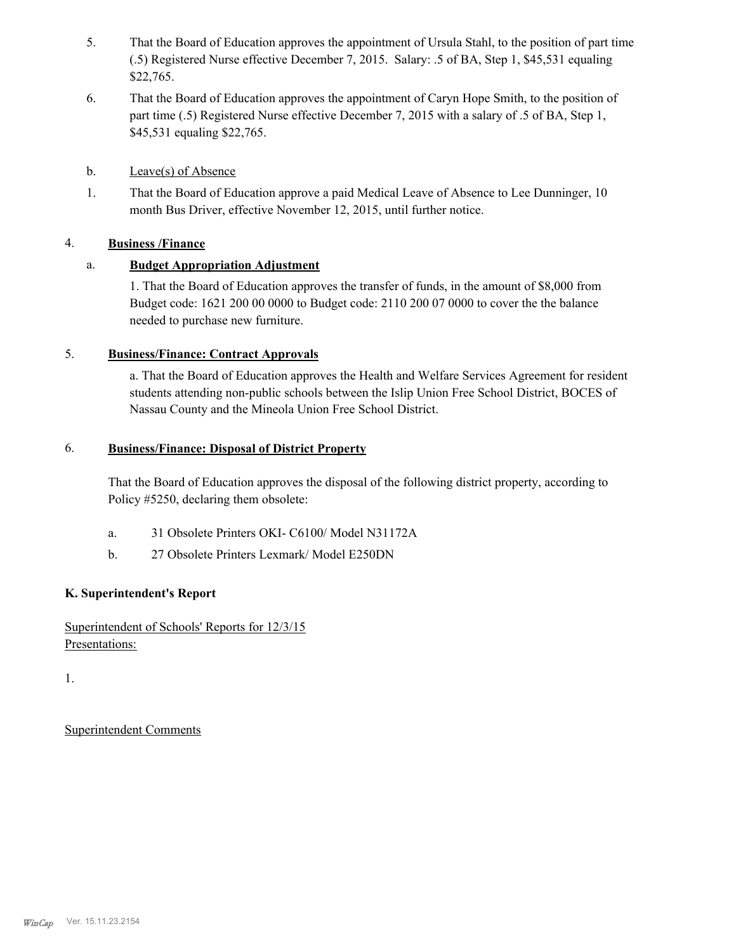- That the Board of Education approves the appointment of Ursula Stahl, to the position of part time (.5) Registered Nurse effective December 7, 2015. Salary: .5 of BA, Step 1, \$45,531 equaling \$22,765. 5.
- That the Board of Education approves the appointment of Caryn Hope Smith, to the position of part time (.5) Registered Nurse effective December 7, 2015 with a salary of .5 of BA, Step 1, \$45,531 equaling \$22,765. 6.
- b. Leave(s) of Absence
- That the Board of Education approve a paid Medical Leave of Absence to Lee Dunninger, 10 month Bus Driver, effective November 12, 2015, until further notice. 1.

# 4. **Business /Finance**

# a. **Budget Appropriation Adjustment**

1. That the Board of Education approves the transfer of funds, in the amount of \$8,000 from Budget code: 1621 200 00 0000 to Budget code: 2110 200 07 0000 to cover the the balance needed to purchase new furniture.

# 5. **Business/Finance: Contract Approvals**

a. That the Board of Education approves the Health and Welfare Services Agreement for resident students attending non-public schools between the Islip Union Free School District, BOCES of Nassau County and the Mineola Union Free School District.

#### **Business/Finance: Disposal of District Property** 6.

That the Board of Education approves the disposal of the following district property, according to Policy #5250, declaring them obsolete:

- a. 31 Obsolete Printers OKI- C6100/ Model N31172A
- b. 27 Obsolete Printers Lexmark/ Model E250DN

# **K. Superintendent's Report**

Superintendent of Schools' Reports for 12/3/15 Presentations:

1.

Superintendent Comments